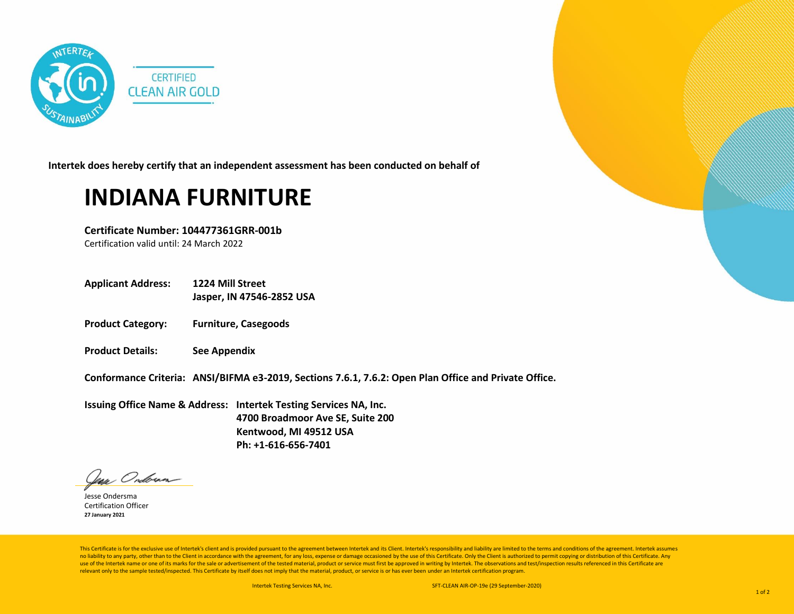

**Intertek does hereby certify that an independent assessment has been conducted on behalf of**

## **INDIANA FURNITURE**

**Certificate Number: 104477361GRR-001b**

Certification valid until: 24 March 2022

**Applicant Address: 1224 Mill Street**

**Jasper, IN 47546-2852 USA**

- **Product Category: Furniture, Casegoods**
- **Product Details: See Appendix**

**Conformance Criteria: ANSI/BIFMA e3-2019, Sections 7.6.1, 7.6.2: Open Plan Office and Private Office.**

**Issuing Office Name & Address: Intertek Testing Services NA, Inc. 4700 Broadmoor Ave SE, Suite 200 Kentwood, MI 49512 USA Ph: +1-616-656-7401**

lean Ondoran

Jesse Ondersma Certification Officer **27 January 2021**

This Certificate is for the exclusive use of Intertek's client and is provided pursuant to the agreement between Intertek and its Client. Intertek's responsibility and liability are limited to the terms and conditions of t no liability to any party, other than to the Client in accordance with the agreement, for any loss, expense or damage occasioned by the use of this Certificate. Only the Client is authorized to permit copying or distributi use of the Intertek name or one of its marks for the sale or advertisement of the tested material, product or service must first be approved in writing by Intertek. The observations and test/inspection results referenced i relevant only to the sample tested/inspected. This Certificate by itself does not imply that the material, product, or service is or has ever been under an Intertek certification program.